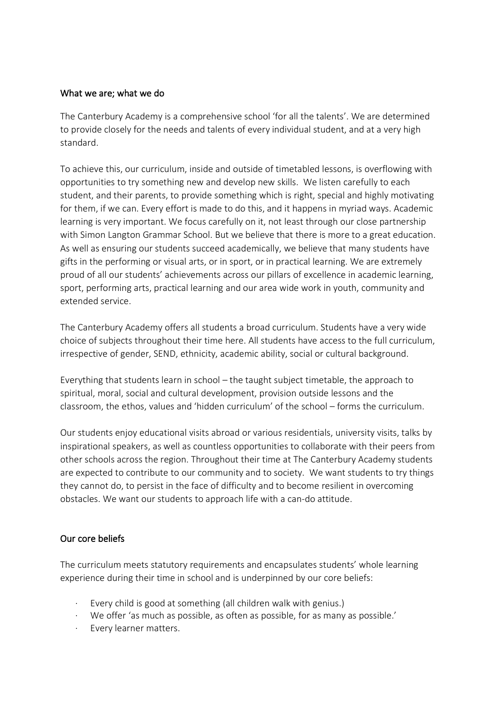#### What we are; what we do

The Canterbury Academy is a comprehensive school 'for all the talents'. We are determined to provide closely for the needs and talents of every individual student, and at a very high standard.

To achieve this, our curriculum, inside and outside of timetabled lessons, is overflowing with opportunities to try something new and develop new skills. We listen carefully to each student, and their parents, to provide something which is right, special and highly motivating for them, if we can. Every effort is made to do this, and it happens in myriad ways. Academic learning is very important. We focus carefully on it, not least through our close partnership with Simon Langton Grammar School. But we believe that there is more to a great education. As well as ensuring our students succeed academically, we believe that many students have gifts in the performing or visual arts, or in sport, or in practical learning. We are extremely proud of all our students' achievements across our pillars of excellence in academic learning, sport, performing arts, practical learning and our area wide work in youth, community and extended service.

The Canterbury Academy offers all students a broad curriculum. Students have a very wide choice of subjects throughout their time here. All students have access to the full curriculum, irrespective of gender, SEND, ethnicity, academic ability, social or cultural background.

Everything that students learn in school – the taught subject timetable, the approach to spiritual, moral, social and cultural development, provision outside lessons and the classroom, the ethos, values and 'hidden curriculum' of the school – forms the curriculum.

Our students enjoy educational visits abroad or various residentials, university visits, talks by inspirational speakers, as well as countless opportunities to collaborate with their peers from other schools across the region. Throughout their time at The Canterbury Academy students are expected to contribute to our community and to society. We want students to try things they cannot do, to persist in the face of difficulty and to become resilient in overcoming obstacles. We want our students to approach life with a can-do attitude.

## Our core beliefs

The curriculum meets statutory requirements and encapsulates students' whole learning experience during their time in school and is underpinned by our core beliefs:

- Every child is good at something (all children walk with genius.)
- We offer 'as much as possible, as often as possible, for as many as possible.'
- Every learner matters.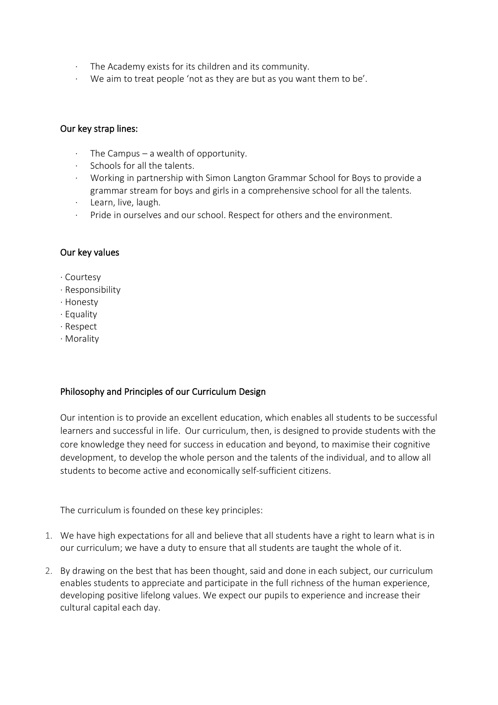- · The Academy exists for its children and its community.
- · We aim to treat people 'not as they are but as you want them to be'.

### Our key strap lines:

- The Campus  $-$  a wealth of opportunity.
- · Schools for all the talents.
- · Working in partnership with Simon Langton Grammar School for Boys to provide a grammar stream for boys and girls in a comprehensive school for all the talents.
- · Learn, live, laugh.
- Pride in ourselves and our school. Respect for others and the environment.

## Our key values

- · Courtesy
- · Responsibility
- · Honesty
- · Equality
- · Respect
- · Morality

## Philosophy and Principles of our Curriculum Design

Our intention is to provide an excellent education, which enables all students to be successful learners and successful in life. Our curriculum, then, is designed to provide students with the core knowledge they need for success in education and beyond, to maximise their cognitive development, to develop the whole person and the talents of the individual, and to allow all students to become active and economically self-sufficient citizens.

The curriculum is founded on these key principles:

- 1. We have high expectations for all and believe that all students have a right to learn what is in our curriculum; we have a duty to ensure that all students are taught the whole of it.
- 2. By drawing on the best that has been thought, said and done in each subject, our curriculum enables students to appreciate and participate in the full richness of the human experience, developing positive lifelong values. We expect our pupils to experience and increase their cultural capital each day.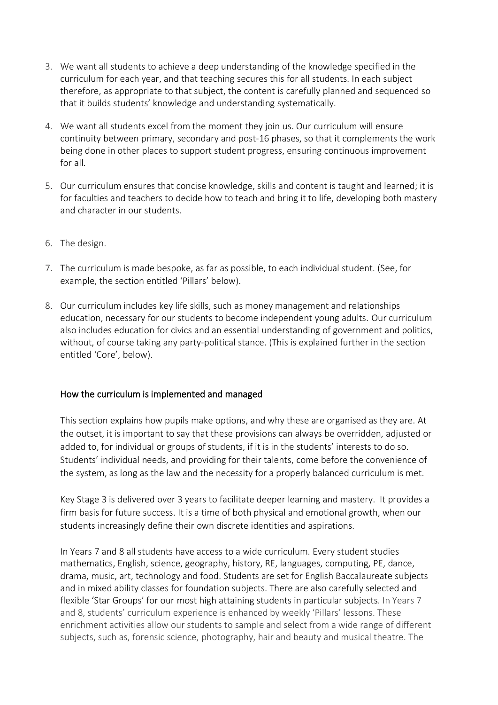- 3. We want all students to achieve a deep understanding of the knowledge specified in the curriculum for each year, and that teaching secures this for all students. In each subject therefore, as appropriate to that subject, the content is carefully planned and sequenced so that it builds students' knowledge and understanding systematically.
- 4. We want all students excel from the moment they join us. Our curriculum will ensure continuity between primary, secondary and post-16 phases, so that it complements the work being done in other places to support student progress, ensuring continuous improvement for all.
- 5. Our curriculum ensures that concise knowledge, skills and content is taught and learned; it is for faculties and teachers to decide how to teach and bring it to life, developing both mastery and character in our students.
- 6. The design.
- 7. The curriculum is made bespoke, as far as possible, to each individual student. (See, for example, the section entitled 'Pillars' below).
- 8. Our curriculum includes key life skills, such as money management and relationships education, necessary for our students to become independent young adults. Our curriculum also includes education for civics and an essential understanding of government and politics, without, of course taking any party-political stance. (This is explained further in the section entitled 'Core', below).

#### How the curriculum is implemented and managed

This section explains how pupils make options, and why these are organised as they are. At the outset, it is important to say that these provisions can always be overridden, adjusted or added to, for individual or groups of students, if it is in the students' interests to do so. Students' individual needs, and providing for their talents, come before the convenience of the system, as long as the law and the necessity for a properly balanced curriculum is met.

Key Stage 3 is delivered over 3 years to facilitate deeper learning and mastery. It provides a firm basis for future success. It is a time of both physical and emotional growth, when our students increasingly define their own discrete identities and aspirations.

In Years 7 and 8 all students have access to a wide curriculum. Every student studies mathematics, English, science, geography, history, RE, languages, computing, PE, dance, drama, music, art, technology and food. Students are set for English Baccalaureate subjects and in mixed ability classes for foundation subjects. There are also carefully selected and flexible 'Star Groups' for our most high attaining students in particular subjects. In Years 7 and 8, students' curriculum experience is enhanced by weekly 'Pillars' lessons. These enrichment activities allow our students to sample and select from a wide range of different subjects, such as, forensic science, photography, hair and beauty and musical theatre. The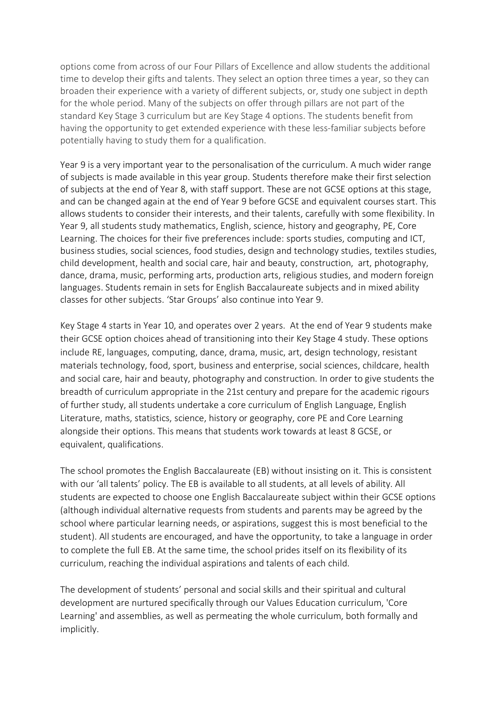options come from across of our Four Pillars of Excellence and allow students the additional time to develop their gifts and talents. They select an option three times a year, so they can broaden their experience with a variety of different subjects, or, study one subject in depth for the whole period. Many of the subjects on offer through pillars are not part of the standard Key Stage 3 curriculum but are Key Stage 4 options. The students benefit from having the opportunity to get extended experience with these less-familiar subjects before potentially having to study them for a qualification.

Year 9 is a very important year to the personalisation of the curriculum. A much wider range of subjects is made available in this year group. Students therefore make their first selection of subjects at the end of Year 8, with staff support. These are not GCSE options at this stage, and can be changed again at the end of Year 9 before GCSE and equivalent courses start. This allows students to consider their interests, and their talents, carefully with some flexibility. In Year 9, all students study mathematics, English, science, history and geography, PE, Core Learning. The choices for their five preferences include: sports studies, computing and ICT, business studies, social sciences, food studies, design and technology studies, textiles studies, child development, health and social care, hair and beauty, construction, art, photography, dance, drama, music, performing arts, production arts, religious studies, and modern foreign languages. Students remain in sets for English Baccalaureate subjects and in mixed ability classes for other subjects. 'Star Groups' also continue into Year 9.

Key Stage 4 starts in Year 10, and operates over 2 years. At the end of Year 9 students make their GCSE option choices ahead of transitioning into their Key Stage 4 study. These options include RE, languages, computing, dance, drama, music, art, design technology, resistant materials technology, food, sport, business and enterprise, social sciences, childcare, health and social care, hair and beauty, photography and construction. In order to give students the breadth of curriculum appropriate in the 21st century and prepare for the academic rigours of further study, all students undertake a core curriculum of English Language, English Literature, maths, statistics, science, history or geography, core PE and Core Learning alongside their options. This means that students work towards at least 8 GCSE, or equivalent, qualifications.

The school promotes the English Baccalaureate (EB) without insisting on it. This is consistent with our 'all talents' policy. The EB is available to all students, at all levels of ability. All students are expected to choose one English Baccalaureate subject within their GCSE options (although individual alternative requests from students and parents may be agreed by the school where particular learning needs, or aspirations, suggest this is most beneficial to the student). All students are encouraged, and have the opportunity, to take a language in order to complete the full EB. At the same time, the school prides itself on its flexibility of its curriculum, reaching the individual aspirations and talents of each child.

The development of students' personal and social skills and their spiritual and cultural development are nurtured specifically through our Values Education curriculum, 'Core Learning' and assemblies, as well as permeating the whole curriculum, both formally and implicitly.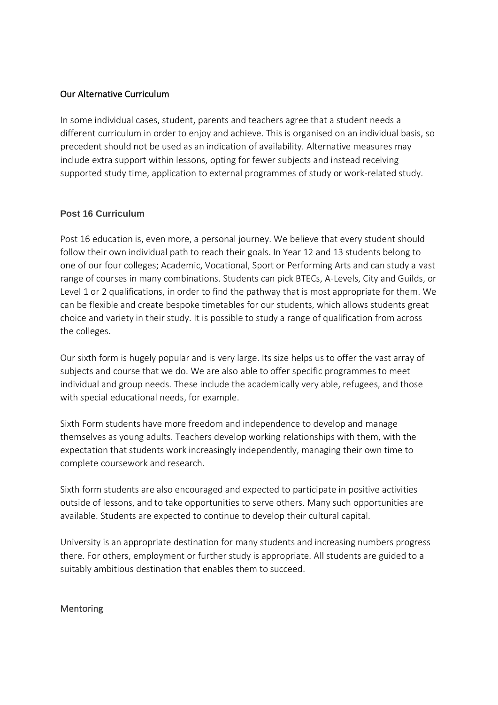### Our Alternative Curriculum

In some individual cases, student, parents and teachers agree that a student needs a different curriculum in order to enjoy and achieve. This is organised on an individual basis, so precedent should not be used as an indication of availability. Alternative measures may include extra support within lessons, opting for fewer subjects and instead receiving supported study time, application to external programmes of study or work-related study.

#### **Post 16 Curriculum**

Post 16 education is, even more, a personal journey. We believe that every student should follow their own individual path to reach their goals. In Year 12 and 13 students belong to one of our four colleges; Academic, Vocational, Sport or Performing Arts and can study a vast range of courses in many combinations. Students can pick BTECs, A-Levels, City and Guilds, or Level 1 or 2 qualifications, in order to find the pathway that is most appropriate for them. We can be flexible and create bespoke timetables for our students, which allows students great choice and variety in their study. It is possible to study a range of qualification from across the colleges.

Our sixth form is hugely popular and is very large. Its size helps us to offer the vast array of subjects and course that we do. We are also able to offer specific programmes to meet individual and group needs. These include the academically very able, refugees, and those with special educational needs, for example.

Sixth Form students have more freedom and independence to develop and manage themselves as young adults. Teachers develop working relationships with them, with the expectation that students work increasingly independently, managing their own time to complete coursework and research.

Sixth form students are also encouraged and expected to participate in positive activities outside of lessons, and to take opportunities to serve others. Many such opportunities are available. Students are expected to continue to develop their cultural capital.

University is an appropriate destination for many students and increasing numbers progress there. For others, employment or further study is appropriate. All students are guided to a suitably ambitious destination that enables them to succeed.

#### Mentoring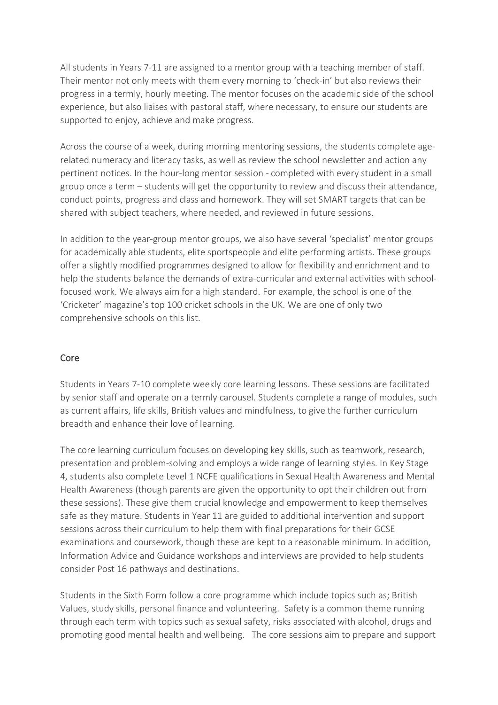All students in Years 7-11 are assigned to a mentor group with a teaching member of staff. Their mentor not only meets with them every morning to 'check-in' but also reviews their progress in a termly, hourly meeting. The mentor focuses on the academic side of the school experience, but also liaises with pastoral staff, where necessary, to ensure our students are supported to enjoy, achieve and make progress.

Across the course of a week, during morning mentoring sessions, the students complete agerelated numeracy and literacy tasks, as well as review the school newsletter and action any pertinent notices. In the hour-long mentor session - completed with every student in a small group once a term – students will get the opportunity to review and discuss their attendance, conduct points, progress and class and homework. They will set SMART targets that can be shared with subject teachers, where needed, and reviewed in future sessions.

In addition to the year-group mentor groups, we also have several 'specialist' mentor groups for academically able students, elite sportspeople and elite performing artists. These groups offer a slightly modified programmes designed to allow for flexibility and enrichment and to help the students balance the demands of extra-curricular and external activities with schoolfocused work. We always aim for a high standard. For example, the school is one of the 'Cricketer' magazine's top 100 cricket schools in the UK. We are one of only two comprehensive schools on this list.

## Core

Students in Years 7-10 complete weekly core learning lessons. These sessions are facilitated by senior staff and operate on a termly carousel. Students complete a range of modules, such as current affairs, life skills, British values and mindfulness, to give the further curriculum breadth and enhance their love of learning.

The core learning curriculum focuses on developing key skills, such as teamwork, research, presentation and problem-solving and employs a wide range of learning styles. In Key Stage 4, students also complete Level 1 NCFE qualifications in Sexual Health Awareness and Mental Health Awareness (though parents are given the opportunity to opt their children out from these sessions). These give them crucial knowledge and empowerment to keep themselves safe as they mature. Students in Year 11 are guided to additional intervention and support sessions across their curriculum to help them with final preparations for their GCSE examinations and coursework, though these are kept to a reasonable minimum. In addition, Information Advice and Guidance workshops and interviews are provided to help students consider Post 16 pathways and destinations.

Students in the Sixth Form follow a core programme which include topics such as; British Values, study skills, personal finance and volunteering. Safety is a common theme running through each term with topics such as sexual safety, risks associated with alcohol, drugs and promoting good mental health and wellbeing. The core sessions aim to prepare and support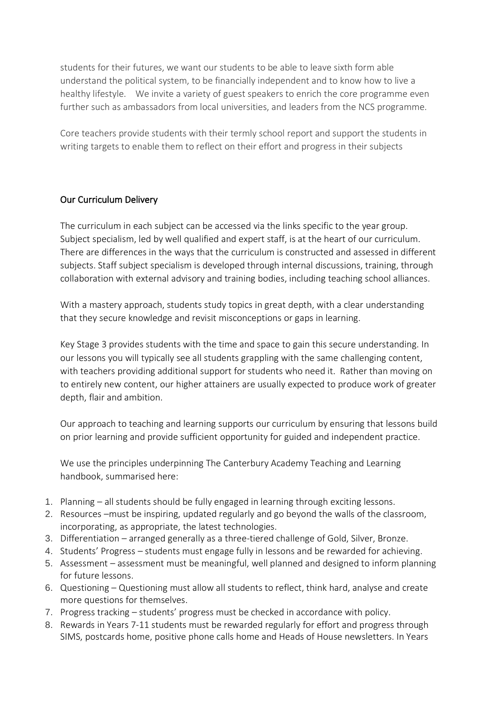students for their futures, we want our students to be able to leave sixth form able understand the political system, to be financially independent and to know how to live a healthy lifestyle. We invite a variety of guest speakers to enrich the core programme even further such as ambassadors from local universities, and leaders from the NCS programme.

Core teachers provide students with their termly school report and support the students in writing targets to enable them to reflect on their effort and progress in their subjects

# Our Curriculum Delivery

The curriculum in each subject can be accessed via the links specific to the year group. Subject specialism, led by well qualified and expert staff, is at the heart of our curriculum. There are differences in the ways that the curriculum is constructed and assessed in different subjects. Staff subject specialism is developed through internal discussions, training, through collaboration with external advisory and training bodies, including teaching school alliances.

With a mastery approach, students study topics in great depth, with a clear understanding that they secure knowledge and revisit misconceptions or gaps in learning.

Key Stage 3 provides students with the time and space to gain this secure understanding. In our lessons you will typically see all students grappling with the same challenging content, with teachers providing additional support for students who need it. Rather than moving on to entirely new content, our higher attainers are usually expected to produce work of greater depth, flair and ambition.

Our approach to teaching and learning supports our curriculum by ensuring that lessons build on prior learning and provide sufficient opportunity for guided and independent practice.

We use the principles underpinning The Canterbury Academy Teaching and Learning handbook, summarised here:

- 1. Planning all students should be fully engaged in learning through exciting lessons.
- 2. Resources –must be inspiring, updated regularly and go beyond the walls of the classroom, incorporating, as appropriate, the latest technologies.
- 3. Differentiation arranged generally as a three-tiered challenge of Gold, Silver, Bronze.
- 4. Students' Progress students must engage fully in lessons and be rewarded for achieving.
- 5. Assessment assessment must be meaningful, well planned and designed to inform planning for future lessons.
- 6. Questioning Questioning must allow all students to reflect, think hard, analyse and create more questions for themselves.
- 7. Progress tracking students' progress must be checked in accordance with policy.
- 8. Rewards in Years 7-11 students must be rewarded regularly for effort and progress through SIMS, postcards home, positive phone calls home and Heads of House newsletters. In Years